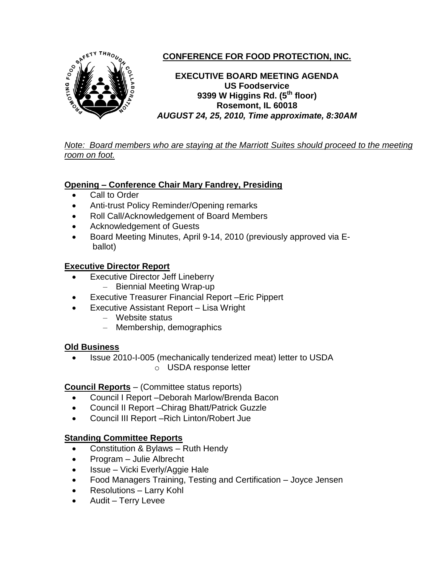

# **CONFERENCE FOR FOOD PROTECTION, INC.**

**EXECUTIVE BOARD MEETING AGENDA US Foodservice 9399 W Higgins Rd. (5th floor) Rosemont, IL 60018** *AUGUST 24, 25, 2010, Time approximate, 8:30AM*

*Note: Board members who are staying at the Marriott Suites should proceed to the meeting room on foot.*

## **Opening – Conference Chair Mary Fandrey, Presiding**

- Call to Order
- Anti-trust Policy Reminder/Opening remarks
- Roll Call/Acknowledgement of Board Members
- Acknowledgement of Guests
- Board Meeting Minutes, April 9-14, 2010 (previously approved via Eballot)

### **Executive Director Report**

- Executive Director Jeff Lineberry
	- Biennial Meeting Wrap-up
- Executive Treasurer Financial Report –Eric Pippert
- Executive Assistant Report Lisa Wright
	- Website status
	- Membership, demographics

### **Old Business**

• Issue 2010-I-005 (mechanically tenderized meat) letter to USDA o USDA response letter

### **Council Reports** – (Committee status reports)

- Council I Report –Deborah Marlow/Brenda Bacon
- Council II Report –Chirag Bhatt/Patrick Guzzle
- Council III Report –Rich Linton/Robert Jue

### **Standing Committee Reports**

- Constitution & Bylaws Ruth Hendy
- Program Julie Albrecht
- Issue Vicki Everly/Aggie Hale
- Food Managers Training, Testing and Certification Joyce Jensen
- Resolutions Larry Kohl
- Audit Terry Levee